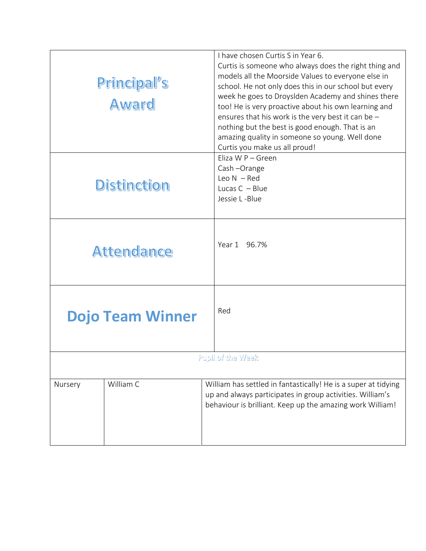| Principal's<br><b>Award</b> |                         | I have chosen Curtis S in Year 6.<br>Curtis is someone who always does the right thing and<br>models all the Moorside Values to everyone else in<br>school. He not only does this in our school but every<br>week he goes to Droyslden Academy and shines there<br>too! He is very proactive about his own learning and<br>ensures that his work is the very best it can be $-$<br>nothing but the best is good enough. That is an<br>amazing quality in someone so young. Well done<br>Curtis you make us all proud! |  |  |
|-----------------------------|-------------------------|-----------------------------------------------------------------------------------------------------------------------------------------------------------------------------------------------------------------------------------------------------------------------------------------------------------------------------------------------------------------------------------------------------------------------------------------------------------------------------------------------------------------------|--|--|
| <b>Distinction</b>          |                         | Eliza W $P -$ Green<br>Cash-Orange<br>Leo $N - Red$<br>Lucas $C - Blue$<br>Jessie L-Blue                                                                                                                                                                                                                                                                                                                                                                                                                              |  |  |
| <b>Attendance</b>           |                         | Year 1 96.7%                                                                                                                                                                                                                                                                                                                                                                                                                                                                                                          |  |  |
|                             | <b>Dojo Team Winner</b> | Red                                                                                                                                                                                                                                                                                                                                                                                                                                                                                                                   |  |  |
| Pupil of the Week           |                         |                                                                                                                                                                                                                                                                                                                                                                                                                                                                                                                       |  |  |
| Nursery                     | William C               | William has settled in fantastically! He is a super at tidying<br>up and always participates in group activities. William's<br>behaviour is brilliant. Keep up the amazing work William!                                                                                                                                                                                                                                                                                                                              |  |  |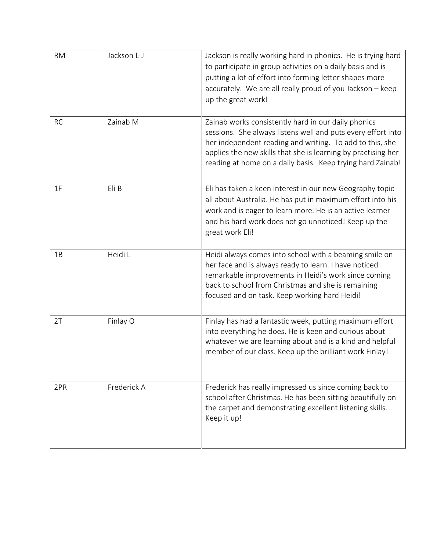| <b>RM</b> | Jackson L-J | Jackson is really working hard in phonics. He is trying hard<br>to participate in group activities on a daily basis and is<br>putting a lot of effort into forming letter shapes more<br>accurately. We are all really proud of you Jackson - keep<br>up the great work!                                       |
|-----------|-------------|----------------------------------------------------------------------------------------------------------------------------------------------------------------------------------------------------------------------------------------------------------------------------------------------------------------|
| <b>RC</b> | Zainab M    | Zainab works consistently hard in our daily phonics<br>sessions. She always listens well and puts every effort into<br>her independent reading and writing. To add to this, she<br>applies the new skills that she is learning by practising her<br>reading at home on a daily basis. Keep trying hard Zainab! |
| 1F        | Eli B       | Eli has taken a keen interest in our new Geography topic<br>all about Australia. He has put in maximum effort into his<br>work and is eager to learn more. He is an active learner<br>and his hard work does not go unnoticed! Keep up the<br>great work Eli!                                                  |
| 1B        | Heidi L     | Heidi always comes into school with a beaming smile on<br>her face and is always ready to learn. I have noticed<br>remarkable improvements in Heidi's work since coming<br>back to school from Christmas and she is remaining<br>focused and on task. Keep working hard Heidi!                                 |
| 2T        | Finlay O    | Finlay has had a fantastic week, putting maximum effort<br>into everything he does. He is keen and curious about<br>whatever we are learning about and is a kind and helpful<br>member of our class. Keep up the brilliant work Finlay!                                                                        |
| 2PR       | Frederick A | Frederick has really impressed us since coming back to<br>school after Christmas. He has been sitting beautifully on<br>the carpet and demonstrating excellent listening skills.<br>Keep it up!                                                                                                                |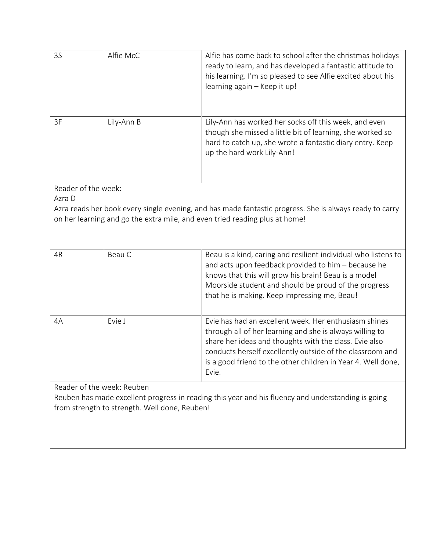| 3S                                                                                                                                                                                                                      | Alfie McC                                                                   | Alfie has come back to school after the christmas holidays<br>ready to learn, and has developed a fantastic attitude to<br>his learning. I'm so pleased to see Alfie excited about his<br>learning again - Keep it up!                                                                                            |  |  |
|-------------------------------------------------------------------------------------------------------------------------------------------------------------------------------------------------------------------------|-----------------------------------------------------------------------------|-------------------------------------------------------------------------------------------------------------------------------------------------------------------------------------------------------------------------------------------------------------------------------------------------------------------|--|--|
| 3F                                                                                                                                                                                                                      | Lily-Ann B                                                                  | Lily-Ann has worked her socks off this week, and even<br>though she missed a little bit of learning, she worked so<br>hard to catch up, she wrote a fantastic diary entry. Keep<br>up the hard work Lily-Ann!                                                                                                     |  |  |
| Reader of the week:<br>Azra D<br>Azra reads her book every single evening, and has made fantastic progress. She is always ready to carry<br>on her learning and go the extra mile, and even tried reading plus at home! |                                                                             |                                                                                                                                                                                                                                                                                                                   |  |  |
| 4R                                                                                                                                                                                                                      | Beau C                                                                      | Beau is a kind, caring and resilient individual who listens to<br>and acts upon feedback provided to him - because he<br>knows that this will grow his brain! Beau is a model<br>Moorside student and should be proud of the progress<br>that he is making. Keep impressing me, Beau!                             |  |  |
| 4A                                                                                                                                                                                                                      | Evie J                                                                      | Evie has had an excellent week. Her enthusiasm shines<br>through all of her learning and she is always willing to<br>share her ideas and thoughts with the class. Evie also<br>conducts herself excellently outside of the classroom and<br>is a good friend to the other children in Year 4. Well done,<br>Evie. |  |  |
|                                                                                                                                                                                                                         | Reader of the week: Reuben<br>from strength to strength. Well done, Reuben! | Reuben has made excellent progress in reading this year and his fluency and understanding is going                                                                                                                                                                                                                |  |  |